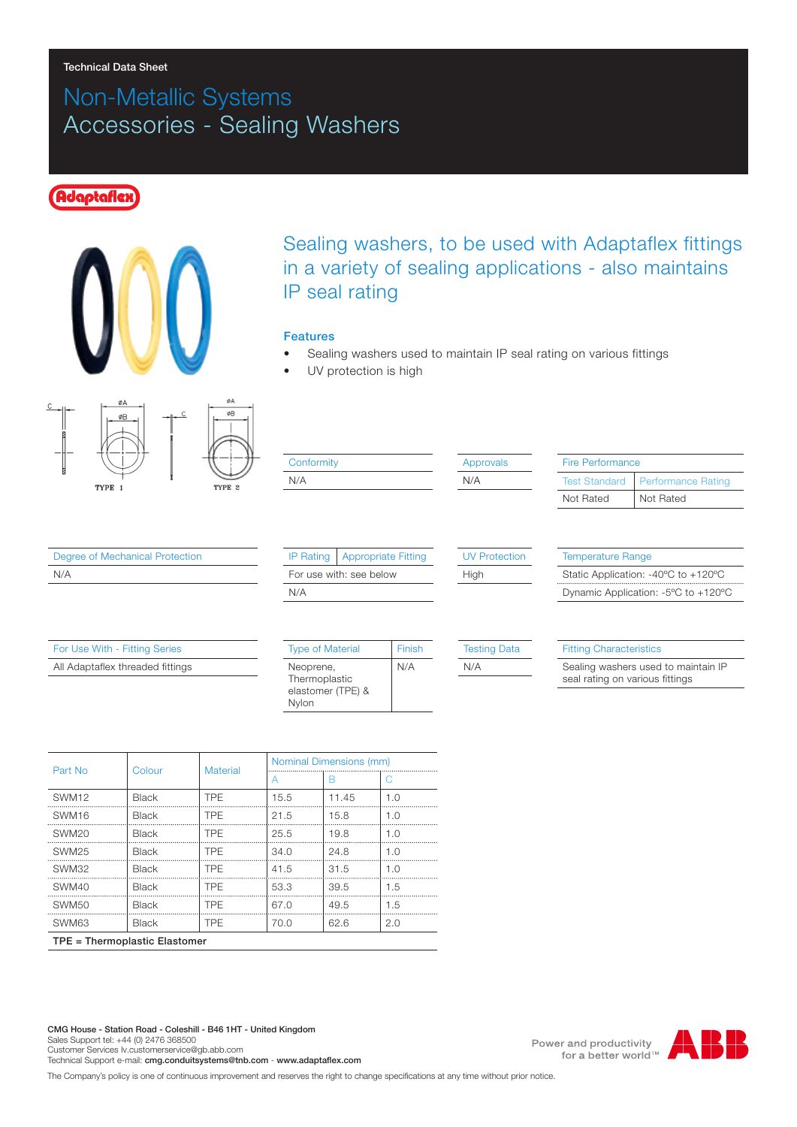#### Technical Data Sheet

# Non-Metallic Systems Accessories - Sealing Washers

## **daptafle**





#### Features

- Sealing washers used to maintain IP seal rating on various fittings
- UV protection is high



| Conformity |
|------------|
| N/A        |

| <b>Approvals</b> |  |  |  |  |
|------------------|--|--|--|--|
| N/A              |  |  |  |  |

| Fire Performance                                  |           |  |  |  |  |
|---------------------------------------------------|-----------|--|--|--|--|
| <b>Test Standard</b><br><b>Performance Rating</b> |           |  |  |  |  |
| Not Rated                                         | Not Rated |  |  |  |  |

Degree of Mechanical Protection N/A

| For Use With - Fitting Series    |
|----------------------------------|
| All Adaptaflex threaded fittings |
|                                  |

| For use with: see below |  |
|-------------------------|--|
| N/A                     |  |
|                         |  |
|                         |  |

IP Rating | Appropriate Fitting

### Tosting Date

UV Protection

High

| <b>Type of Material</b>                         | Finish |
|-------------------------------------------------|--------|
| Neoprene,<br>Thermoplastic<br>elastomer (TPE) & | N/A    |
| Nylon                                           |        |

| н | -1 |
|---|----|
|   |    |

#### Fitting Characteristics

Temperature Range

Sealing washers used to maintain IP seal rating on various fittings

Static Application: -40ºC to +120ºC Dynamic Application: -5ºC to +120ºC

| Part No                       | Colour       | <b>Material</b> | Nominal Dimensions (mm) |       |     |  |
|-------------------------------|--------------|-----------------|-------------------------|-------|-----|--|
|                               |              |                 | A                       | B     | C   |  |
| SWM <sub>12</sub>             | <b>Black</b> | <b>TPE</b>      | 15.5                    | 11.45 | 1.0 |  |
| SWM <sub>16</sub>             | <b>Black</b> | <b>TPF</b>      | 21.5                    | 15.8  | 1.0 |  |
| SWM <sub>20</sub>             | <b>Black</b> | <b>TPF</b>      | 25.5                    | 19.8  | 1.0 |  |
| SWM <sub>25</sub>             | <b>Black</b> | <b>TPF</b>      | 34.0                    | 24.8  | 1.0 |  |
| SWM32                         | Black        | <b>TPF</b>      | 41.5                    | 31.5  | 1.0 |  |
| SWM40                         | <b>Black</b> | <b>TPF</b>      | 53.3                    | 39.5  | 1.5 |  |
| SWM <sub>50</sub>             | Black        | <b>TPE</b>      | 67.0                    | 49.5  | 1.5 |  |
| SWM63                         | <b>Black</b> | <b>TPE</b>      | 70.0                    | 62.6  | 2.0 |  |
| TPE = Thermoplastic Elastomer |              |                 |                         |       |     |  |

The Company's policy is one of continuous improvement and reserves the right to change specifications at any time without prior notice.

Power and productivity for a better world™

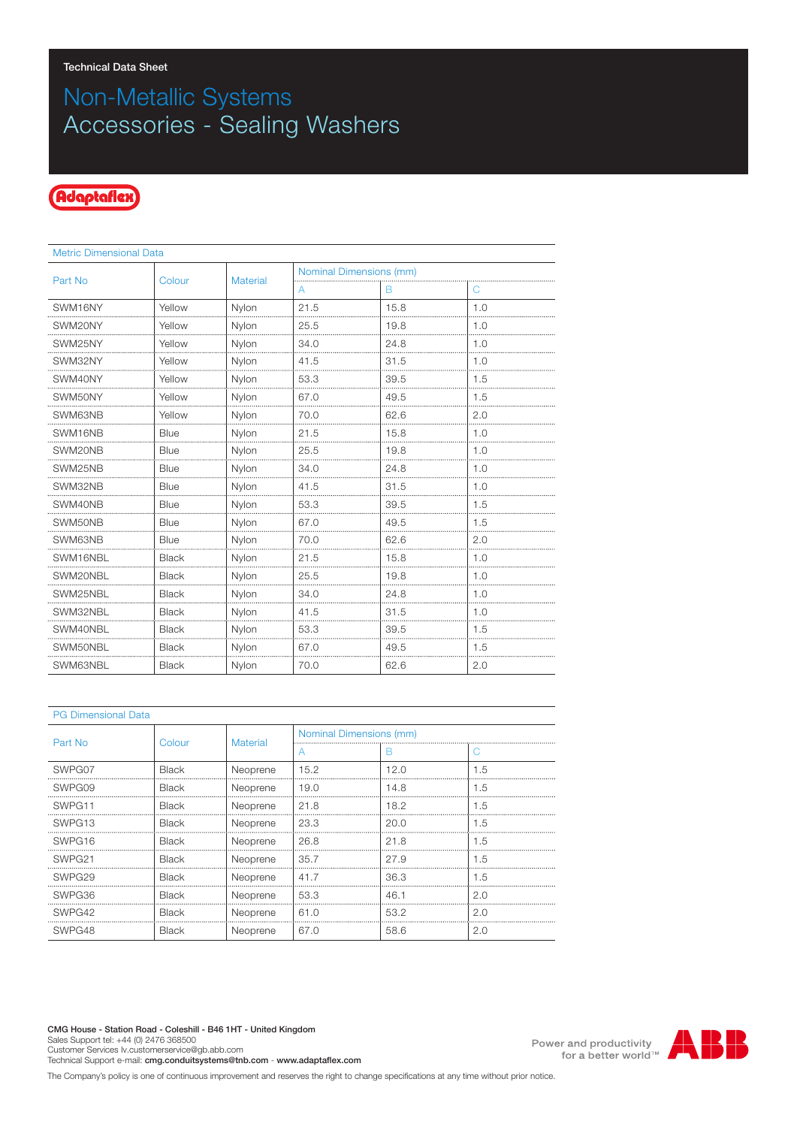# Non-Metallic Systems Accessories - Sealing Washers

## Adaptaflex

| <b>Metric Dimensional Data</b> |              |                 |                         |      |     |  |
|--------------------------------|--------------|-----------------|-------------------------|------|-----|--|
| Part No                        | Colour       | <b>Material</b> | Nominal Dimensions (mm) |      |     |  |
|                                |              |                 | A                       | В    | С   |  |
| SWM16NY                        | Yellow       | Nylon           | 21.5                    | 15.8 | 1.0 |  |
| SWM20NY                        | Yellow       | Nylon           | 25.5                    | 19.8 | 1.0 |  |
| SWM25NY                        | Yellow       | Nylon           | 34.0                    | 24.8 | 1.0 |  |
| SWM32NY                        | Yellow       | Nylon           | 41.5                    | 31.5 | 1.0 |  |
| SWM40NY                        | Yellow       | Nylon           | 53.3                    | 39.5 | 1.5 |  |
| SWM50NY                        | Yellow       | Nylon           | 67.0                    | 49.5 | 1.5 |  |
| SWM63NB                        | Yellow       | Nylon           | 70.0                    | 62.6 | 2.0 |  |
| SWM16NB                        | Blue         | Nylon           | 21.5                    | 15.8 | 1.0 |  |
| SWM20NB                        | Blue         | Nylon           | 25.5                    | 19.8 | 1.0 |  |
| SWM25NB                        | Blue         | Nylon           | 34.0                    | 24.8 | 1.0 |  |
| SWM32NB                        | Blue         | Nylon           | 41.5                    | 31.5 | 1.0 |  |
| SWM40NB                        | <b>Blue</b>  | Nylon           | 53.3                    | 39.5 | 1.5 |  |
| SWM50NB                        | Blue         | Nylon           | 67.0                    | 49.5 | 1.5 |  |
| SWM63NB                        | Blue         | Nylon           | 70.0                    | 62.6 | 2.0 |  |
| SWM16NBL                       | <b>Black</b> | Nylon           | 21.5                    | 15.8 | 1.0 |  |
| SWM20NBL                       | <b>Black</b> | Nylon           | 25.5                    | 19.8 | 1.0 |  |
| SWM25NBL                       | <b>Black</b> | Nylon           | 34.0                    | 24.8 | 1.0 |  |
| SWM32NBL                       | <b>Black</b> | Nylon           | 41.5                    | 31.5 | 1.0 |  |
| SWM40NBL                       | <b>Black</b> | Nylon           | 53.3                    | 39.5 | 1.5 |  |
| SWM50NBL                       | <b>Black</b> | Nylon           | 67.0                    | 49.5 | 1.5 |  |
| SWM63NBL                       | <b>Black</b> | Nylon           | 70.0                    | 62.6 | 2.0 |  |

| <b>PG Dimensional Data</b> |              |                 |                         |      |     |  |
|----------------------------|--------------|-----------------|-------------------------|------|-----|--|
| Part No                    | Colour       | <b>Material</b> | Nominal Dimensions (mm) |      |     |  |
|                            |              |                 |                         | в    | C   |  |
| SWPG07                     | Black        | Neoprene        | 15.2                    | 12.0 | 1.5 |  |
| SWPG09                     | <b>Black</b> | Neoprene        | 19.0                    | 14.8 | 1.5 |  |
| SWPG11                     | <b>Black</b> | Neoprene        | 21.8                    | 18.2 | 1.5 |  |
| SWPG <sub>13</sub>         | <b>Black</b> | Neoprene        | 23.3                    | 20.0 | 1.5 |  |
| SWPG <sub>16</sub>         | <b>Black</b> | Neoprene        | 26.8                    | 21.8 | 1.5 |  |
| SWPG <sub>21</sub>         | <b>Black</b> | Neoprene        | 35.7                    | 27.9 | 1.5 |  |
| SWPG <sub>29</sub>         | <b>Black</b> | Neoprene        | 41.7                    | 36.3 | 1.5 |  |
| SWPG36                     | Black        | Neoprene        | 53.3                    | 46.1 | 2.0 |  |
| SWPG42                     | Black        | Neoprene        | 61.0                    | 53.2 | 2.0 |  |
| SWPG48                     | <b>Black</b> | Neoprene        | 67.0                    | 58.6 | 2.0 |  |

Power and productivity<br>for a better world<sup>™</sup>



The Company's policy is one of continuous improvement and reserves the right to change specifications at any time without prior notice.